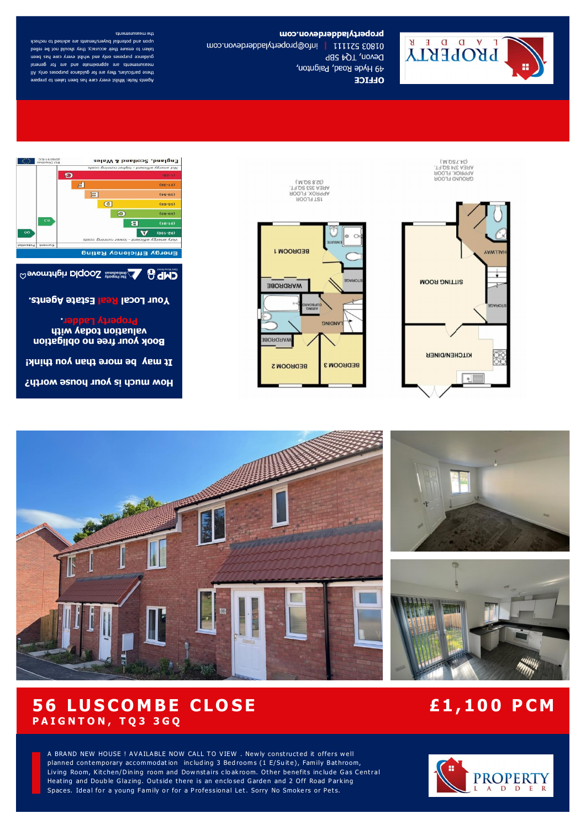

propertyladderdevon.com 01803 52111 | info@propertyladebricom Devon, TQ4 5BP

49 Hyde Road, Paignton,

**OLLICE** 

the measurements

upon and potential buyers/tenants are advised to recheck raken to ensure their accuracy, they should hot be relied guidance purposes only and whilst every care has been measurements are approximate and are for general these particulars, they are for guidance purposes only. All Agents Note: Whilst every care has been taken to prepare



 $(M.OS\ T.FS)$ **AREA 374 SQ.FT.** APPROX. FLOOR GROUND FLOOR

**BEDROOM1 EDAROT WARDROBE ANDING WARDROBE BEDROOM3 BEDBOOM 2** 



Your Local Real Estate Agents.

**Property Ladder.** 

valuation today with **Book your free no obligation** 

It may be more than you think!

How much is your house worth?



 $(XS, R'S'')$ 

AREA 353 SQ.FT. APPROX. FLOOR

**1ST FLOOR** 









## **56 LUSCOMBE CLOSE P A I G N T O N , T Q 3 3 G Q**

# **£1 , 10 0 P CM**

A BRAND NEW HOUSE ! AVAILABLE NOW CALL TO VIEW . Newly constructed it offers well planned contemporary accommodation including 3 Bed rooms (1 E/Suite), Family Bathroom, Living Room, Kitchen/Dining room and Downstairs cloakroom. Other benefits include Gas Central Heating and Double Glazing. Outside there is an enclosed Garden and 2 Off Road Parking Spaces. Ideal for a young Family or for a Professional Let. Sorry No Smokers or Pets.